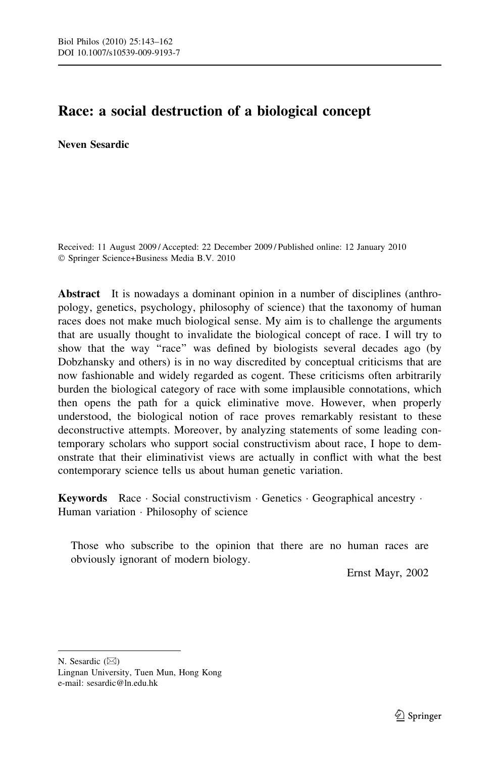# Race: a social destruction of a biological concept

Neven Sesardic

Received: 11 August 2009 / Accepted: 22 December 2009 / Published online: 12 January 2010 Springer Science+Business Media B.V. 2010

Abstract It is nowadays a dominant opinion in a number of disciplines (anthropology, genetics, psychology, philosophy of science) that the taxonomy of human races does not make much biological sense. My aim is to challenge the arguments that are usually thought to invalidate the biological concept of race. I will try to show that the way ''race'' was defined by biologists several decades ago (by Dobzhansky and others) is in no way discredited by conceptual criticisms that are now fashionable and widely regarded as cogent. These criticisms often arbitrarily burden the biological category of race with some implausible connotations, which then opens the path for a quick eliminative move. However, when properly understood, the biological notion of race proves remarkably resistant to these deconstructive attempts. Moreover, by analyzing statements of some leading contemporary scholars who support social constructivism about race, I hope to demonstrate that their eliminativist views are actually in conflict with what the best contemporary science tells us about human genetic variation.

**Keywords** Race Social constructivism Genetics Geographical ancestry  $\cdot$ Human variation · Philosophy of science

Those who subscribe to the opinion that there are no human races are obviously ignorant of modern biology.

Ernst Mayr, 2002

N. Sesardic  $(\boxtimes)$ 

Lingnan University, Tuen Mun, Hong Kong e-mail: sesardic@ln.edu.hk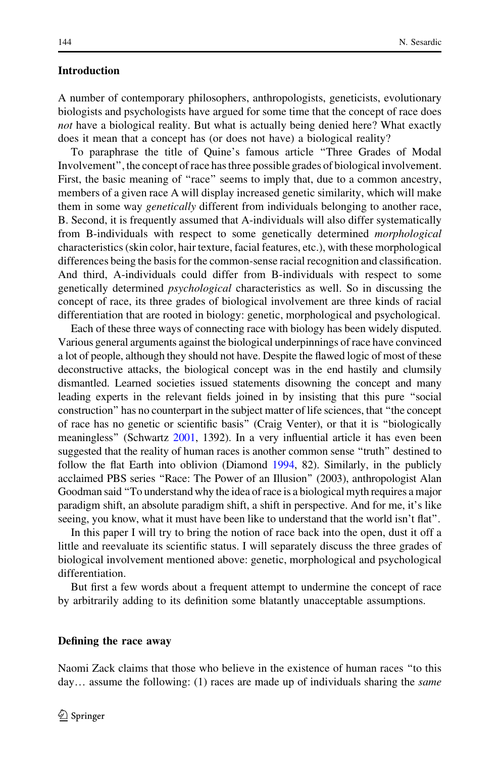### Introduction

A number of contemporary philosophers, anthropologists, geneticists, evolutionary biologists and psychologists have argued for some time that the concept of race does not have a biological reality. But what is actually being denied here? What exactly does it mean that a concept has (or does not have) a biological reality?

To paraphrase the title of Quine's famous article ''Three Grades of Modal Involvement'', the concept of race has three possible grades of biological involvement. First, the basic meaning of "race" seems to imply that, due to a common ancestry, members of a given race A will display increased genetic similarity, which will make them in some way *genetically* different from individuals belonging to another race, B. Second, it is frequently assumed that A-individuals will also differ systematically from B-individuals with respect to some genetically determined morphological characteristics (skin color, hair texture, facial features, etc.), with these morphological differences being the basis for the common-sense racial recognition and classification. And third, A-individuals could differ from B-individuals with respect to some genetically determined psychological characteristics as well. So in discussing the concept of race, its three grades of biological involvement are three kinds of racial differentiation that are rooted in biology: genetic, morphological and psychological.

Each of these three ways of connecting race with biology has been widely disputed. Various general arguments against the biological underpinnings of race have convinced a lot of people, although they should not have. Despite the flawed logic of most of these deconstructive attacks, the biological concept was in the end hastily and clumsily dismantled. Learned societies issued statements disowning the concept and many leading experts in the relevant fields joined in by insisting that this pure ''social construction'' has no counterpart in the subject matter of life sciences, that ''the concept of race has no genetic or scientific basis'' (Craig Venter), or that it is ''biologically meaningless'' (Schwartz [2001,](#page-19-0) 1392). In a very influential article it has even been suggested that the reality of human races is another common sense ''truth'' destined to follow the flat Earth into oblivion (Diamond [1994,](#page-18-0) 82). Similarly, in the publicly acclaimed PBS series ''Race: The Power of an Illusion'' (2003), anthropologist Alan Goodman said ''To understand why the idea of race is a biological myth requires a major paradigm shift, an absolute paradigm shift, a shift in perspective. And for me, it's like seeing, you know, what it must have been like to understand that the world isn't flat''.

In this paper I will try to bring the notion of race back into the open, dust it off a little and reevaluate its scientific status. I will separately discuss the three grades of biological involvement mentioned above: genetic, morphological and psychological differentiation.

But first a few words about a frequent attempt to undermine the concept of race by arbitrarily adding to its definition some blatantly unacceptable assumptions.

### Defining the race away

Naomi Zack claims that those who believe in the existence of human races ''to this day... assume the following: (1) races are made up of individuals sharing the *same*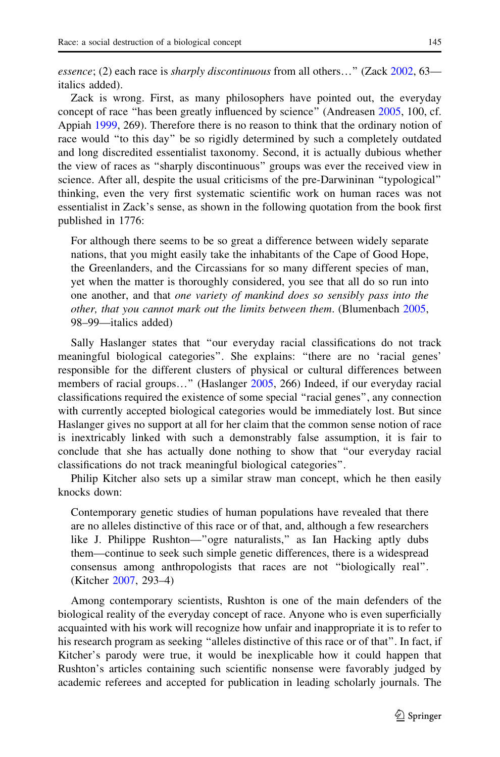essence; (2) each race is *sharply discontinuous* from all others..." (Zack [2002](#page-19-0), 63 italics added).

Zack is wrong. First, as many philosophers have pointed out, the everyday concept of race ''has been greatly influenced by science'' (Andreasen [2005,](#page-18-0) 100, cf. Appiah [1999](#page-18-0), 269). Therefore there is no reason to think that the ordinary notion of race would ''to this day'' be so rigidly determined by such a completely outdated and long discredited essentialist taxonomy. Second, it is actually dubious whether the view of races as ''sharply discontinuous'' groups was ever the received view in science. After all, despite the usual criticisms of the pre-Darwininan ''typological'' thinking, even the very first systematic scientific work on human races was not essentialist in Zack's sense, as shown in the following quotation from the book first published in 1776:

For although there seems to be so great a difference between widely separate nations, that you might easily take the inhabitants of the Cape of Good Hope, the Greenlanders, and the Circassians for so many different species of man, yet when the matter is thoroughly considered, you see that all do so run into one another, and that one variety of mankind does so sensibly pass into the other, that you cannot mark out the limits between them. (Blumenbach [2005,](#page-18-0) 98–99—italics added)

Sally Haslanger states that ''our everyday racial classifications do not track meaningful biological categories''. She explains: ''there are no 'racial genes' responsible for the different clusters of physical or cultural differences between members of racial groups..." (Haslanger [2005,](#page-18-0) 266) Indeed, if our everyday racial classifications required the existence of some special ''racial genes'', any connection with currently accepted biological categories would be immediately lost. But since Haslanger gives no support at all for her claim that the common sense notion of race is inextricably linked with such a demonstrably false assumption, it is fair to conclude that she has actually done nothing to show that ''our everyday racial classifications do not track meaningful biological categories''.

Philip Kitcher also sets up a similar straw man concept, which he then easily knocks down:

Contemporary genetic studies of human populations have revealed that there are no alleles distinctive of this race or of that, and, although a few researchers like J. Philippe Rushton—''ogre naturalists,'' as Ian Hacking aptly dubs them—continue to seek such simple genetic differences, there is a widespread consensus among anthropologists that races are not ''biologically real''. (Kitcher [2007,](#page-18-0) 293–4)

Among contemporary scientists, Rushton is one of the main defenders of the biological reality of the everyday concept of race. Anyone who is even superficially acquainted with his work will recognize how unfair and inappropriate it is to refer to his research program as seeking ''alleles distinctive of this race or of that''. In fact, if Kitcher's parody were true, it would be inexplicable how it could happen that Rushton's articles containing such scientific nonsense were favorably judged by academic referees and accepted for publication in leading scholarly journals. The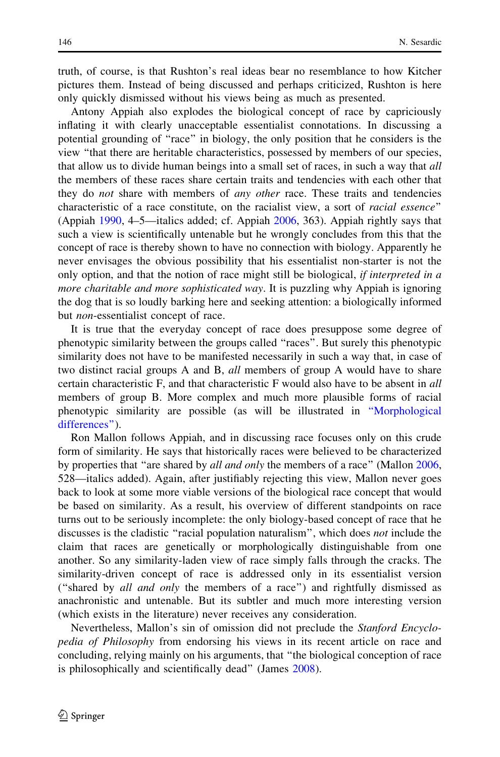truth, of course, is that Rushton's real ideas bear no resemblance to how Kitcher pictures them. Instead of being discussed and perhaps criticized, Rushton is here only quickly dismissed without his views being as much as presented.

Antony Appiah also explodes the biological concept of race by capriciously inflating it with clearly unacceptable essentialist connotations. In discussing a potential grounding of ''race'' in biology, the only position that he considers is the view ''that there are heritable characteristics, possessed by members of our species, that allow us to divide human beings into a small set of races, in such a way that all the members of these races share certain traits and tendencies with each other that they do not share with members of any other race. These traits and tendencies characteristic of a race constitute, on the racialist view, a sort of racial essence'' (Appiah [1990,](#page-18-0) 4–5—italics added; cf. Appiah [2006,](#page-18-0) 363). Appiah rightly says that such a view is scientifically untenable but he wrongly concludes from this that the concept of race is thereby shown to have no connection with biology. Apparently he never envisages the obvious possibility that his essentialist non-starter is not the only option, and that the notion of race might still be biological, *if interpreted in a* more charitable and more sophisticated way. It is puzzling why Appiah is ignoring the dog that is so loudly barking here and seeking attention: a biologically informed but *non*-essentialist concept of race.

It is true that the everyday concept of race does presuppose some degree of phenotypic similarity between the groups called ''races''. But surely this phenotypic similarity does not have to be manifested necessarily in such a way that, in case of two distinct racial groups A and B, *all* members of group A would have to share certain characteristic F, and that characteristic F would also have to be absent in all members of group B. More complex and much more plausible forms of racial phenotypic similarity are possible (as will be illustrated in [''Morphological](#page-14-0) [differences''](#page-14-0)).

Ron Mallon follows Appiah, and in discussing race focuses only on this crude form of similarity. He says that historically races were believed to be characterized by properties that "are shared by *all and only* the members of a race" (Mallon [2006,](#page-19-0) 528—italics added). Again, after justifiably rejecting this view, Mallon never goes back to look at some more viable versions of the biological race concept that would be based on similarity. As a result, his overview of different standpoints on race turns out to be seriously incomplete: the only biology-based concept of race that he discusses is the cladistic "racial population naturalism", which does *not* include the claim that races are genetically or morphologically distinguishable from one another. So any similarity-laden view of race simply falls through the cracks. The similarity-driven concept of race is addressed only in its essentialist version (''shared by all and only the members of a race'') and rightfully dismissed as anachronistic and untenable. But its subtler and much more interesting version (which exists in the literature) never receives any consideration.

Nevertheless, Mallon's sin of omission did not preclude the Stanford Encyclopedia of Philosophy from endorsing his views in its recent article on race and concluding, relying mainly on his arguments, that ''the biological conception of race is philosophically and scientifically dead'' (James [2008](#page-18-0)).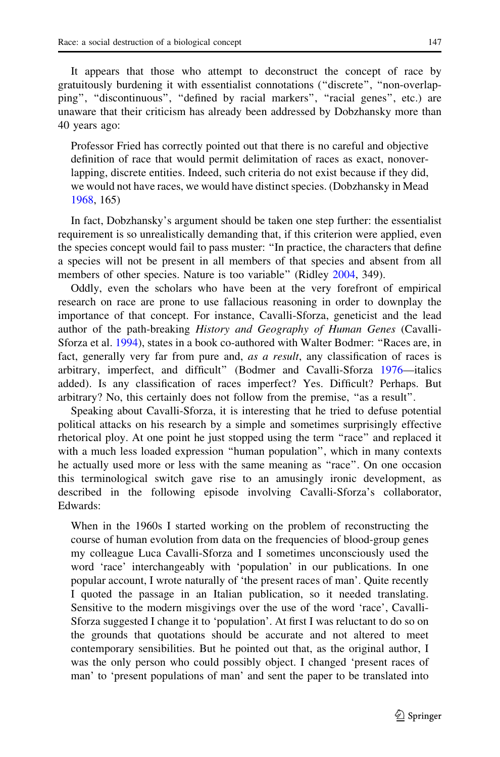It appears that those who attempt to deconstruct the concept of race by gratuitously burdening it with essentialist connotations (''discrete'', ''non-overlapping'', ''discontinuous'', ''defined by racial markers'', ''racial genes'', etc.) are unaware that their criticism has already been addressed by Dobzhansky more than 40 years ago:

Professor Fried has correctly pointed out that there is no careful and objective definition of race that would permit delimitation of races as exact, nonoverlapping, discrete entities. Indeed, such criteria do not exist because if they did, we would not have races, we would have distinct species. (Dobzhansky in Mead [1968](#page-19-0), 165)

In fact, Dobzhansky's argument should be taken one step further: the essentialist requirement is so unrealistically demanding that, if this criterion were applied, even the species concept would fail to pass muster: ''In practice, the characters that define a species will not be present in all members of that species and absent from all members of other species. Nature is too variable" (Ridley [2004](#page-19-0), 349).

Oddly, even the scholars who have been at the very forefront of empirical research on race are prone to use fallacious reasoning in order to downplay the importance of that concept. For instance, Cavalli-Sforza, geneticist and the lead author of the path-breaking History and Geography of Human Genes (Cavalli-Sforza et al. [1994](#page-18-0)), states in a book co-authored with Walter Bodmer: ''Races are, in fact, generally very far from pure and, as a result, any classification of races is arbitrary, imperfect, and difficult'' (Bodmer and Cavalli-Sforza [1976](#page-18-0)—italics added). Is any classification of races imperfect? Yes. Difficult? Perhaps. But arbitrary? No, this certainly does not follow from the premise, ''as a result''.

Speaking about Cavalli-Sforza, it is interesting that he tried to defuse potential political attacks on his research by a simple and sometimes surprisingly effective rhetorical ploy. At one point he just stopped using the term ''race'' and replaced it with a much less loaded expression ''human population'', which in many contexts he actually used more or less with the same meaning as ''race''. On one occasion this terminological switch gave rise to an amusingly ironic development, as described in the following episode involving Cavalli-Sforza's collaborator, Edwards:

When in the 1960s I started working on the problem of reconstructing the course of human evolution from data on the frequencies of blood-group genes my colleague Luca Cavalli-Sforza and I sometimes unconsciously used the word 'race' interchangeably with 'population' in our publications. In one popular account, I wrote naturally of 'the present races of man'. Quite recently I quoted the passage in an Italian publication, so it needed translating. Sensitive to the modern misgivings over the use of the word 'race', Cavalli-Sforza suggested I change it to 'population'. At first I was reluctant to do so on the grounds that quotations should be accurate and not altered to meet contemporary sensibilities. But he pointed out that, as the original author, I was the only person who could possibly object. I changed 'present races of man' to 'present populations of man' and sent the paper to be translated into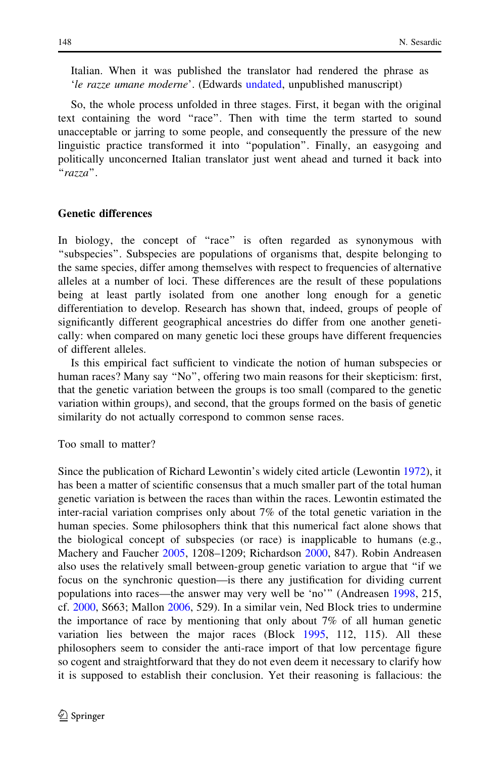Italian. When it was published the translator had rendered the phrase as 'le razze umane moderne'. (Edwards [undated,](#page-18-0) unpublished manuscript)

So, the whole process unfolded in three stages. First, it began with the original text containing the word ''race''. Then with time the term started to sound unacceptable or jarring to some people, and consequently the pressure of the new linguistic practice transformed it into ''population''. Finally, an easygoing and politically unconcerned Italian translator just went ahead and turned it back into ''razza''.

## Genetic differences

In biology, the concept of "race" is often regarded as synonymous with ''subspecies''. Subspecies are populations of organisms that, despite belonging to the same species, differ among themselves with respect to frequencies of alternative alleles at a number of loci. These differences are the result of these populations being at least partly isolated from one another long enough for a genetic differentiation to develop. Research has shown that, indeed, groups of people of significantly different geographical ancestries do differ from one another genetically: when compared on many genetic loci these groups have different frequencies of different alleles.

Is this empirical fact sufficient to vindicate the notion of human subspecies or human races? Many say "No", offering two main reasons for their skepticism: first, that the genetic variation between the groups is too small (compared to the genetic variation within groups), and second, that the groups formed on the basis of genetic similarity do not actually correspond to common sense races.

Too small to matter?

Since the publication of Richard Lewontin's widely cited article (Lewontin [1972](#page-18-0)), it has been a matter of scientific consensus that a much smaller part of the total human genetic variation is between the races than within the races. Lewontin estimated the inter-racial variation comprises only about 7% of the total genetic variation in the human species. Some philosophers think that this numerical fact alone shows that the biological concept of subspecies (or race) is inapplicable to humans (e.g., Machery and Faucher [2005,](#page-19-0) 1208–1209; Richardson [2000](#page-19-0), 847). Robin Andreasen also uses the relatively small between-group genetic variation to argue that ''if we focus on the synchronic question—is there any justification for dividing current populations into races—the answer may very well be 'no''' (Andreasen [1998](#page-17-0), 215, cf. [2000](#page-17-0), S663; Mallon [2006](#page-19-0), 529). In a similar vein, Ned Block tries to undermine the importance of race by mentioning that only about 7% of all human genetic variation lies between the major races (Block [1995](#page-18-0), 112, 115). All these philosophers seem to consider the anti-race import of that low percentage figure so cogent and straightforward that they do not even deem it necessary to clarify how it is supposed to establish their conclusion. Yet their reasoning is fallacious: the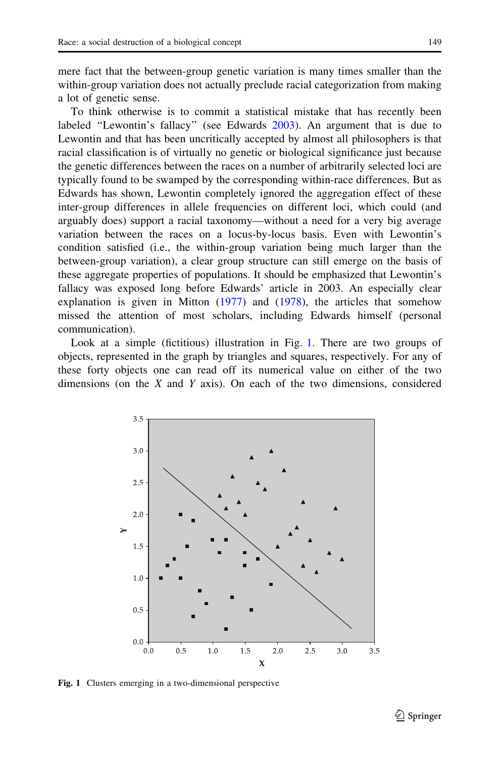mere fact that the between-group genetic variation is many times smaller than the within-group variation does not actually preclude racial categorization from making a lot of genetic sense.

To think otherwise is to commit a statistical mistake that has recently been labeled "Lewontin's fallacy" (see Edwards [2003](#page-18-0)). An argument that is due to Lewontin and that has been uncritically accepted by almost all philosophers is that racial classification is of virtually no genetic or biological significance just because the genetic differences between the races on a number of arbitrarily selected loci are typically found to be swamped by the corresponding within-race differences. But as Edwards has shown, Lewontin completely ignored the aggregation effect of these inter-group differences in allele frequencies on different loci, which could (and arguably does) support a racial taxonomy—without a need for a very big average variation between the races on a locus-by-locus basis. Even with Lewontin's condition satisfied (i.e., the within-group variation being much larger than the between-group variation), a clear group structure can still emerge on the basis of these aggregate properties of populations. It should be emphasized that Lewontin's fallacy was exposed long before Edwards' article in 2003. An especially clear explanation is given in Mitton [\(1977](#page-19-0)) and [\(1978](#page-19-0)), the articles that somehow missed the attention of most scholars, including Edwards himself (personal communication).

Look at a simple (fictitious) illustration in Fig. 1. There are two groups of objects, represented in the graph by triangles and squares, respectively. For any of these forty objects one can read off its numerical value on either of the two dimensions (on the  $X$  and  $Y$  axis). On each of the two dimensions, considered



Fig. 1 Clusters emerging in a two-dimensional perspective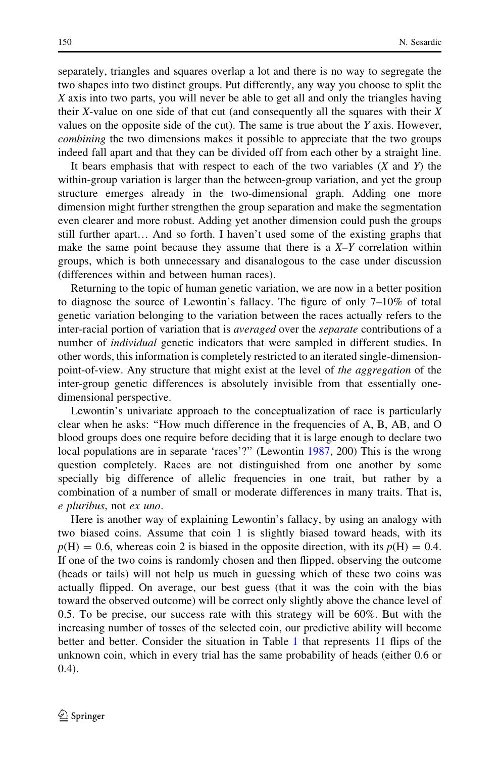separately, triangles and squares overlap a lot and there is no way to segregate the two shapes into two distinct groups. Put differently, any way you choose to split the X axis into two parts, you will never be able to get all and only the triangles having their X-value on one side of that cut (and consequently all the squares with their  $X$ values on the opposite side of the cut). The same is true about the Y axis. However, combining the two dimensions makes it possible to appreciate that the two groups indeed fall apart and that they can be divided off from each other by a straight line.

It bears emphasis that with respect to each of the two variables  $(X \text{ and } Y)$  the within-group variation is larger than the between-group variation, and yet the group structure emerges already in the two-dimensional graph. Adding one more dimension might further strengthen the group separation and make the segmentation even clearer and more robust. Adding yet another dimension could push the groups still further apart… And so forth. I haven't used some of the existing graphs that make the same point because they assume that there is a X–Y correlation within groups, which is both unnecessary and disanalogous to the case under discussion (differences within and between human races).

Returning to the topic of human genetic variation, we are now in a better position to diagnose the source of Lewontin's fallacy. The figure of only 7–10% of total genetic variation belonging to the variation between the races actually refers to the inter-racial portion of variation that is *averaged* over the *separate* contributions of a number of *individual* genetic indicators that were sampled in different studies. In other words, this information is completely restricted to an iterated single-dimensionpoint-of-view. Any structure that might exist at the level of the aggregation of the inter-group genetic differences is absolutely invisible from that essentially onedimensional perspective.

Lewontin's univariate approach to the conceptualization of race is particularly clear when he asks: ''How much difference in the frequencies of A, B, AB, and O blood groups does one require before deciding that it is large enough to declare two local populations are in separate 'races'?" (Lewontin [1987](#page-19-0), 200) This is the wrong question completely. Races are not distinguished from one another by some specially big difference of allelic frequencies in one trait, but rather by a combination of a number of small or moderate differences in many traits. That is, e pluribus, not ex uno.

Here is another way of explaining Lewontin's fallacy, by using an analogy with two biased coins. Assume that coin 1 is slightly biased toward heads, with its  $p(H) = 0.6$ , whereas coin 2 is biased in the opposite direction, with its  $p(H) = 0.4$ . If one of the two coins is randomly chosen and then flipped, observing the outcome (heads or tails) will not help us much in guessing which of these two coins was actually flipped. On average, our best guess (that it was the coin with the bias toward the observed outcome) will be correct only slightly above the chance level of 0.5. To be precise, our success rate with this strategy will be 60%. But with the increasing number of tosses of the selected coin, our predictive ability will become better and better. Consider the situation in Table [1](#page-8-0) that represents 11 flips of the unknown coin, which in every trial has the same probability of heads (either 0.6 or 0.4).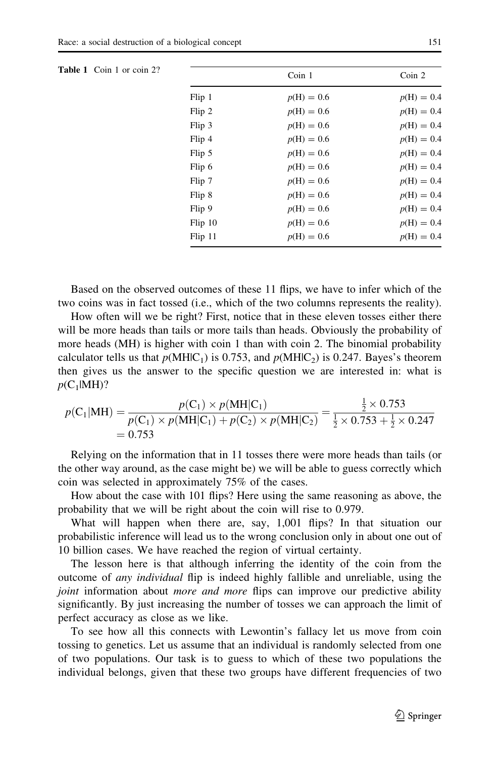<span id="page-8-0"></span>

| <b>Table 1</b> Coin 1 or coin 2? |         |              |              |  |
|----------------------------------|---------|--------------|--------------|--|
|                                  |         | Coin 1       | Coin 2       |  |
|                                  | Flip 1  | $p(H) = 0.6$ | $p(H) = 0.4$ |  |
|                                  | Flip 2  | $p(H) = 0.6$ | $p(H) = 0.4$ |  |
|                                  | Flip 3  | $p(H) = 0.6$ | $p(H) = 0.4$ |  |
|                                  | Flip 4  | $p(H) = 0.6$ | $p(H) = 0.4$ |  |
|                                  | Flip 5  | $p(H) = 0.6$ | $p(H) = 0.4$ |  |
|                                  | Flip 6  | $p(H) = 0.6$ | $p(H) = 0.4$ |  |
|                                  | Flip 7  | $p(H) = 0.6$ | $p(H) = 0.4$ |  |
|                                  | Flip 8  | $p(H) = 0.6$ | $p(H) = 0.4$ |  |
|                                  | Flip 9  | $p(H) = 0.6$ | $p(H) = 0.4$ |  |
|                                  | Flip 10 | $p(H) = 0.6$ | $p(H) = 0.4$ |  |
|                                  | Flip 11 | $p(H) = 0.6$ | $p(H) = 0.4$ |  |

Based on the observed outcomes of these 11 flips, we have to infer which of the two coins was in fact tossed (i.e., which of the two columns represents the reality).

How often will we be right? First, notice that in these eleven tosses either there will be more heads than tails or more tails than heads. Obviously the probability of more heads (MH) is higher with coin 1 than with coin 2. The binomial probability calculator tells us that  $p(MH|C_1)$  is 0.753, and  $p(MH|C_2)$  is 0.247. Bayes's theorem then gives us the answer to the specific question we are interested in: what is  $p(C_1|MH)?$ 

$$
p(C_1|MH) = \frac{p(C_1) \times p(MH|C_1)}{p(C_1) \times p(MH|C_1) + p(C_2) \times p(MH|C_2)} = \frac{\frac{1}{2} \times 0.753}{\frac{1}{2} \times 0.753 + \frac{1}{2} \times 0.247}
$$
  
= 0.753

Relying on the information that in 11 tosses there were more heads than tails (or the other way around, as the case might be) we will be able to guess correctly which coin was selected in approximately 75% of the cases.

How about the case with 101 flips? Here using the same reasoning as above, the probability that we will be right about the coin will rise to 0.979.

What will happen when there are, say, 1,001 flips? In that situation our probabilistic inference will lead us to the wrong conclusion only in about one out of 10 billion cases. We have reached the region of virtual certainty.

The lesson here is that although inferring the identity of the coin from the outcome of any individual flip is indeed highly fallible and unreliable, using the joint information about *more and more* flips can improve our predictive ability significantly. By just increasing the number of tosses we can approach the limit of perfect accuracy as close as we like.

To see how all this connects with Lewontin's fallacy let us move from coin tossing to genetics. Let us assume that an individual is randomly selected from one of two populations. Our task is to guess to which of these two populations the individual belongs, given that these two groups have different frequencies of two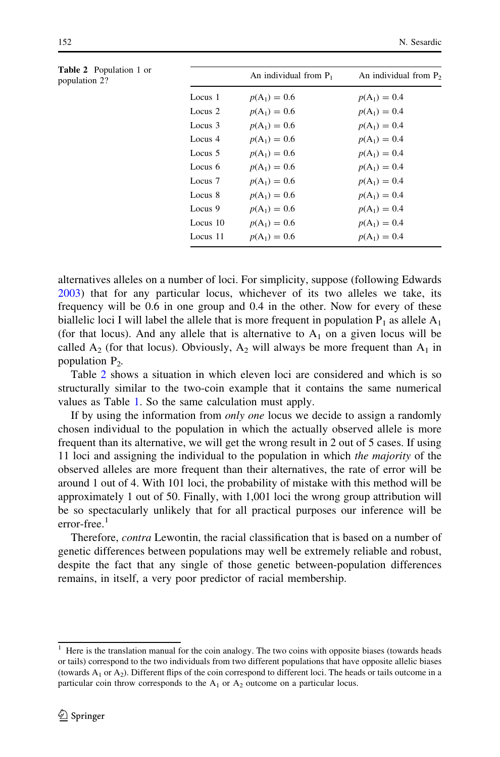| <b>Table 2</b> Population 1 or<br>population 2? |                    | An individual from $P_1$ | An individual from $P_2$ |
|-------------------------------------------------|--------------------|--------------------------|--------------------------|
|                                                 | Locus 1            | $p(A_1) = 0.6$           | $p(A_1) = 0.4$           |
|                                                 | Locus 2            | $p(A_1) = 0.6$           | $p(A_1) = 0.4$           |
|                                                 | Locus 3            | $p(A_1) = 0.6$           | $p(A_1) = 0.4$           |
|                                                 | Locus 4            | $p(A_1) = 0.6$           | $p(A_1) = 0.4$           |
|                                                 | Locus 5            | $p(A_1) = 0.6$           | $p(A_1) = 0.4$           |
|                                                 | Locus 6            | $p(A_1) = 0.6$           | $p(A_1) = 0.4$           |
|                                                 | Locus <sub>7</sub> | $p(A_1) = 0.6$           | $p(A_1) = 0.4$           |
|                                                 | Locus 8            | $p(A_1) = 0.6$           | $p(A_1) = 0.4$           |
|                                                 | Locus 9            | $p(A_1) = 0.6$           | $p(A_1) = 0.4$           |
|                                                 | Locus 10           | $p(A_1) = 0.6$           | $p(A_1) = 0.4$           |
|                                                 | Locus 11           | $p(A_1) = 0.6$           | $p(A_1) = 0.4$           |

alternatives alleles on a number of loci. For simplicity, suppose (following Edwards [2003\)](#page-18-0) that for any particular locus, whichever of its two alleles we take, its frequency will be 0.6 in one group and 0.4 in the other. Now for every of these biallelic loci I will label the allele that is more frequent in population  $P_1$  as allele  $A_1$ (for that locus). And any allele that is alternative to  $A_1$  on a given locus will be called  $A_2$  (for that locus). Obviously,  $A_2$  will always be more frequent than  $A_1$  in population  $P_2$ .

Table 2 shows a situation in which eleven loci are considered and which is so structurally similar to the two-coin example that it contains the same numerical values as Table [1.](#page-8-0) So the same calculation must apply.

If by using the information from *only one* locus we decide to assign a randomly chosen individual to the population in which the actually observed allele is more frequent than its alternative, we will get the wrong result in 2 out of 5 cases. If using 11 loci and assigning the individual to the population in which the majority of the observed alleles are more frequent than their alternatives, the rate of error will be around 1 out of 4. With 101 loci, the probability of mistake with this method will be approximately 1 out of 50. Finally, with 1,001 loci the wrong group attribution will be so spectacularly unlikely that for all practical purposes our inference will be  $error-free.<sup>1</sup>$ 

Therefore, contra Lewontin, the racial classification that is based on a number of genetic differences between populations may well be extremely reliable and robust, despite the fact that any single of those genetic between-population differences remains, in itself, a very poor predictor of racial membership.

<sup>1</sup> Here is the translation manual for the coin analogy. The two coins with opposite biases (towards heads or tails) correspond to the two individuals from two different populations that have opposite allelic biases (towards  $A_1$  or  $A_2$ ). Different flips of the coin correspond to different loci. The heads or tails outcome in a particular coin throw corresponds to the  $A_1$  or  $A_2$  outcome on a particular locus.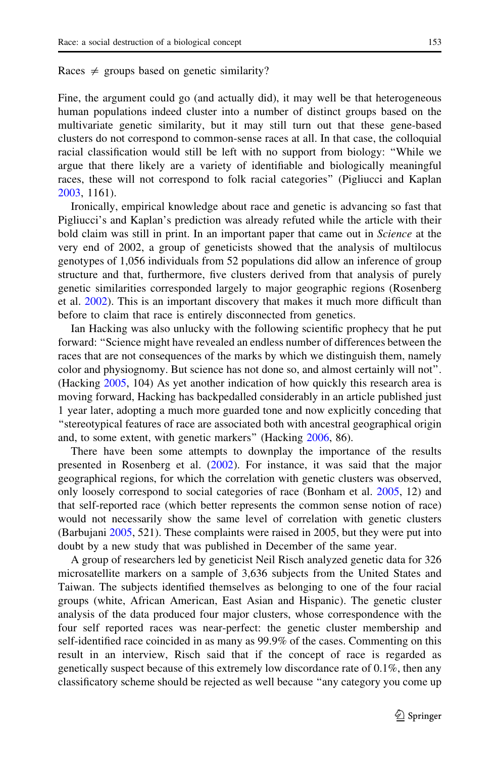### Races  $\neq$  groups based on genetic similarity?

Fine, the argument could go (and actually did), it may well be that heterogeneous human populations indeed cluster into a number of distinct groups based on the multivariate genetic similarity, but it may still turn out that these gene-based clusters do not correspond to common-sense races at all. In that case, the colloquial racial classification would still be left with no support from biology: ''While we argue that there likely are a variety of identifiable and biologically meaningful races, these will not correspond to folk racial categories'' (Pigliucci and Kaplan [2003,](#page-19-0) 1161).

Ironically, empirical knowledge about race and genetic is advancing so fast that Pigliucci's and Kaplan's prediction was already refuted while the article with their bold claim was still in print. In an important paper that came out in *Science* at the very end of 2002, a group of geneticists showed that the analysis of multilocus genotypes of 1,056 individuals from 52 populations did allow an inference of group structure and that, furthermore, five clusters derived from that analysis of purely genetic similarities corresponded largely to major geographic regions (Rosenberg et al. [2002](#page-19-0)). This is an important discovery that makes it much more difficult than before to claim that race is entirely disconnected from genetics.

Ian Hacking was also unlucky with the following scientific prophecy that he put forward: ''Science might have revealed an endless number of differences between the races that are not consequences of the marks by which we distinguish them, namely color and physiognomy. But science has not done so, and almost certainly will not''. (Hacking [2005](#page-18-0), 104) As yet another indication of how quickly this research area is moving forward, Hacking has backpedalled considerably in an article published just 1 year later, adopting a much more guarded tone and now explicitly conceding that ''stereotypical features of race are associated both with ancestral geographical origin and, to some extent, with genetic markers'' (Hacking [2006,](#page-18-0) 86).

There have been some attempts to downplay the importance of the results presented in Rosenberg et al. [\(2002](#page-19-0)). For instance, it was said that the major geographical regions, for which the correlation with genetic clusters was observed, only loosely correspond to social categories of race (Bonham et al. [2005](#page-18-0), 12) and that self-reported race (which better represents the common sense notion of race) would not necessarily show the same level of correlation with genetic clusters (Barbujani [2005](#page-18-0), 521). These complaints were raised in 2005, but they were put into doubt by a new study that was published in December of the same year.

A group of researchers led by geneticist Neil Risch analyzed genetic data for 326 microsatellite markers on a sample of 3,636 subjects from the United States and Taiwan. The subjects identified themselves as belonging to one of the four racial groups (white, African American, East Asian and Hispanic). The genetic cluster analysis of the data produced four major clusters, whose correspondence with the four self reported races was near-perfect: the genetic cluster membership and self-identified race coincided in as many as 99.9% of the cases. Commenting on this result in an interview, Risch said that if the concept of race is regarded as genetically suspect because of this extremely low discordance rate of 0.1%, then any classificatory scheme should be rejected as well because ''any category you come up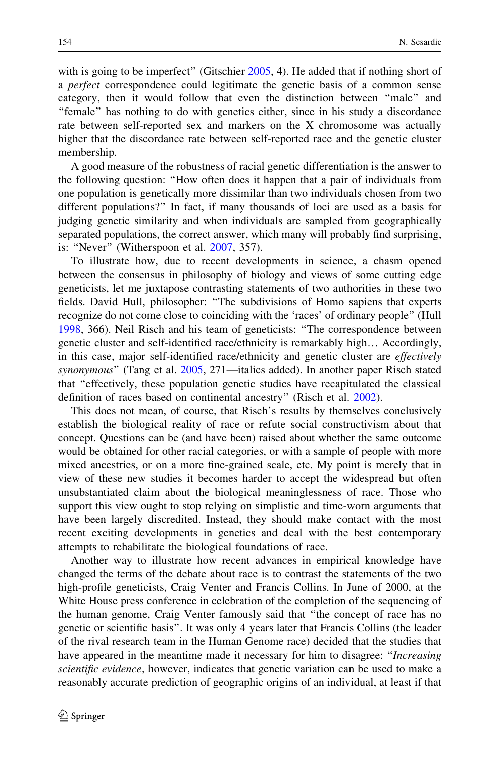with is going to be imperfect" (Gitschier [2005](#page-18-0), 4). He added that if nothing short of a perfect correspondence could legitimate the genetic basis of a common sense category, then it would follow that even the distinction between ''male'' and ''female'' has nothing to do with genetics either, since in his study a discordance rate between self-reported sex and markers on the X chromosome was actually higher that the discordance rate between self-reported race and the genetic cluster membership.

A good measure of the robustness of racial genetic differentiation is the answer to the following question: ''How often does it happen that a pair of individuals from one population is genetically more dissimilar than two individuals chosen from two different populations?'' In fact, if many thousands of loci are used as a basis for judging genetic similarity and when individuals are sampled from geographically separated populations, the correct answer, which many will probably find surprising, is: "Never" (Witherspoon et al. [2007,](#page-19-0) 357).

To illustrate how, due to recent developments in science, a chasm opened between the consensus in philosophy of biology and views of some cutting edge geneticists, let me juxtapose contrasting statements of two authorities in these two fields. David Hull, philosopher: ''The subdivisions of Homo sapiens that experts recognize do not come close to coinciding with the 'races' of ordinary people'' (Hull [1998,](#page-18-0) 366). Neil Risch and his team of geneticists: ''The correspondence between genetic cluster and self-identified race/ethnicity is remarkably high… Accordingly, in this case, major self-identified race/ethnicity and genetic cluster are effectively synonymous'' (Tang et al. [2005,](#page-19-0) 271—italics added). In another paper Risch stated that ''effectively, these population genetic studies have recapitulated the classical definition of races based on continental ancestry'' (Risch et al. [2002\)](#page-19-0).

This does not mean, of course, that Risch's results by themselves conclusively establish the biological reality of race or refute social constructivism about that concept. Questions can be (and have been) raised about whether the same outcome would be obtained for other racial categories, or with a sample of people with more mixed ancestries, or on a more fine-grained scale, etc. My point is merely that in view of these new studies it becomes harder to accept the widespread but often unsubstantiated claim about the biological meaninglessness of race. Those who support this view ought to stop relying on simplistic and time-worn arguments that have been largely discredited. Instead, they should make contact with the most recent exciting developments in genetics and deal with the best contemporary attempts to rehabilitate the biological foundations of race.

Another way to illustrate how recent advances in empirical knowledge have changed the terms of the debate about race is to contrast the statements of the two high-profile geneticists, Craig Venter and Francis Collins. In June of 2000, at the White House press conference in celebration of the completion of the sequencing of the human genome, Craig Venter famously said that ''the concept of race has no genetic or scientific basis''. It was only 4 years later that Francis Collins (the leader of the rival research team in the Human Genome race) decided that the studies that have appeared in the meantime made it necessary for him to disagree: "Increasing scientific evidence, however, indicates that genetic variation can be used to make a reasonably accurate prediction of geographic origins of an individual, at least if that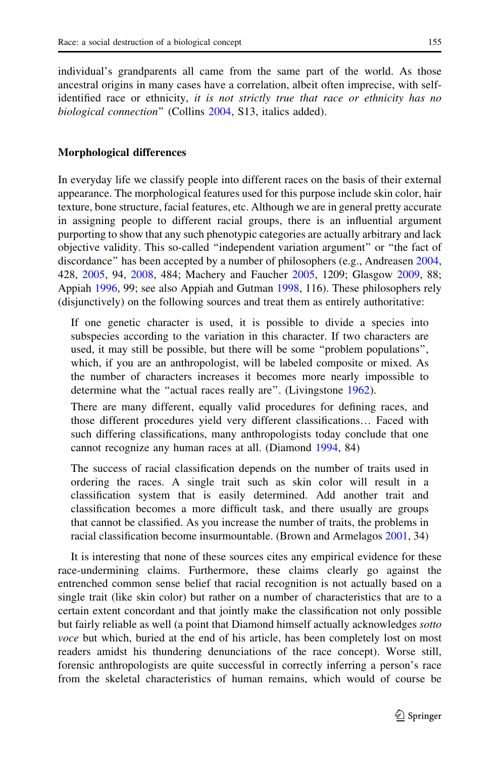individual's grandparents all came from the same part of the world. As those ancestral origins in many cases have a correlation, albeit often imprecise, with selfidentified race or ethnicity, it is not strictly true that race or ethnicity has no biological connection'' (Collins [2004](#page-18-0), S13, italics added).

#### Morphological differences

In everyday life we classify people into different races on the basis of their external appearance. The morphological features used for this purpose include skin color, hair texture, bone structure, facial features, etc. Although we are in general pretty accurate in assigning people to different racial groups, there is an influential argument purporting to show that any such phenotypic categories are actually arbitrary and lack objective validity. This so-called ''independent variation argument'' or ''the fact of discordance'' has been accepted by a number of philosophers (e.g., Andreasen [2004,](#page-17-0) 428, [2005](#page-18-0), 94, [2008](#page-18-0), 484; Machery and Faucher [2005,](#page-19-0) 1209; Glasgow [2009](#page-18-0), 88; Appiah [1996](#page-18-0), 99; see also Appiah and Gutman [1998](#page-18-0), 116). These philosophers rely (disjunctively) on the following sources and treat them as entirely authoritative:

If one genetic character is used, it is possible to divide a species into subspecies according to the variation in this character. If two characters are used, it may still be possible, but there will be some ''problem populations'', which, if you are an anthropologist, will be labeled composite or mixed. As the number of characters increases it becomes more nearly impossible to determine what the ''actual races really are''. (Livingstone [1962](#page-19-0)).

There are many different, equally valid procedures for defining races, and those different procedures yield very different classifications… Faced with such differing classifications, many anthropologists today conclude that one cannot recognize any human races at all. (Diamond [1994](#page-18-0), 84)

The success of racial classification depends on the number of traits used in ordering the races. A single trait such as skin color will result in a classification system that is easily determined. Add another trait and classification becomes a more difficult task, and there usually are groups that cannot be classified. As you increase the number of traits, the problems in racial classification become insurmountable. (Brown and Armelagos [2001,](#page-18-0) 34)

It is interesting that none of these sources cites any empirical evidence for these race-undermining claims. Furthermore, these claims clearly go against the entrenched common sense belief that racial recognition is not actually based on a single trait (like skin color) but rather on a number of characteristics that are to a certain extent concordant and that jointly make the classification not only possible but fairly reliable as well (a point that Diamond himself actually acknowledges *sotto voce* but which, buried at the end of his article, has been completely lost on most readers amidst his thundering denunciations of the race concept). Worse still, forensic anthropologists are quite successful in correctly inferring a person's race from the skeletal characteristics of human remains, which would of course be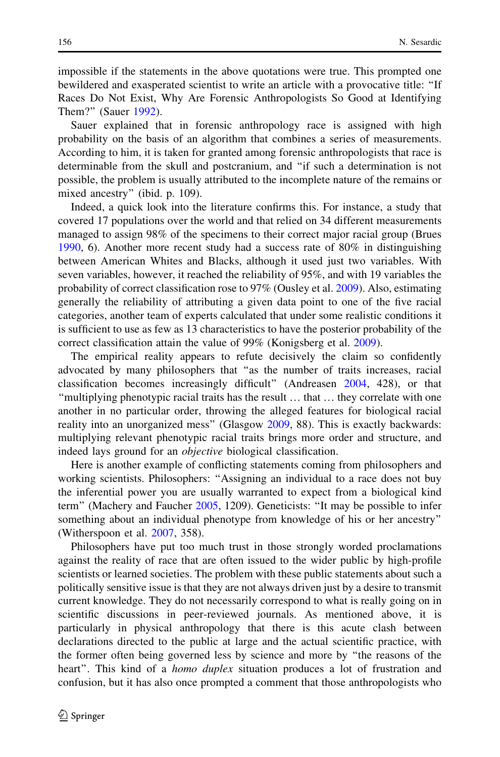impossible if the statements in the above quotations were true. This prompted one bewildered and exasperated scientist to write an article with a provocative title: ''If Races Do Not Exist, Why Are Forensic Anthropologists So Good at Identifying Them?'' (Sauer [1992](#page-19-0)).

Sauer explained that in forensic anthropology race is assigned with high probability on the basis of an algorithm that combines a series of measurements. According to him, it is taken for granted among forensic anthropologists that race is determinable from the skull and postcranium, and ''if such a determination is not possible, the problem is usually attributed to the incomplete nature of the remains or mixed ancestry'' (ibid. p. 109).

Indeed, a quick look into the literature confirms this. For instance, a study that covered 17 populations over the world and that relied on 34 different measurements managed to assign 98% of the specimens to their correct major racial group (Brues [1990,](#page-18-0) 6). Another more recent study had a success rate of 80% in distinguishing between American Whites and Blacks, although it used just two variables. With seven variables, however, it reached the reliability of 95%, and with 19 variables the probability of correct classification rose to 97% (Ousley et al. [2009](#page-19-0)). Also, estimating generally the reliability of attributing a given data point to one of the five racial categories, another team of experts calculated that under some realistic conditions it is sufficient to use as few as 13 characteristics to have the posterior probability of the correct classification attain the value of 99% (Konigsberg et al. [2009\)](#page-18-0).

The empirical reality appears to refute decisively the claim so confidently advocated by many philosophers that ''as the number of traits increases, racial classification becomes increasingly difficult'' (Andreasen [2004,](#page-17-0) 428), or that ''multiplying phenotypic racial traits has the result … that … they correlate with one another in no particular order, throwing the alleged features for biological racial reality into an unorganized mess" (Glasgow [2009,](#page-18-0) 88). This is exactly backwards: multiplying relevant phenotypic racial traits brings more order and structure, and indeed lays ground for an *objective* biological classification.

Here is another example of conflicting statements coming from philosophers and working scientists. Philosophers: ''Assigning an individual to a race does not buy the inferential power you are usually warranted to expect from a biological kind term" (Machery and Faucher [2005,](#page-19-0) 1209). Geneticists: "It may be possible to infer something about an individual phenotype from knowledge of his or her ancestry'' (Witherspoon et al. [2007](#page-19-0), 358).

Philosophers have put too much trust in those strongly worded proclamations against the reality of race that are often issued to the wider public by high-profile scientists or learned societies. The problem with these public statements about such a politically sensitive issue is that they are not always driven just by a desire to transmit current knowledge. They do not necessarily correspond to what is really going on in scientific discussions in peer-reviewed journals. As mentioned above, it is particularly in physical anthropology that there is this acute clash between declarations directed to the public at large and the actual scientific practice, with the former often being governed less by science and more by ''the reasons of the heart". This kind of a *homo duplex* situation produces a lot of frustration and confusion, but it has also once prompted a comment that those anthropologists who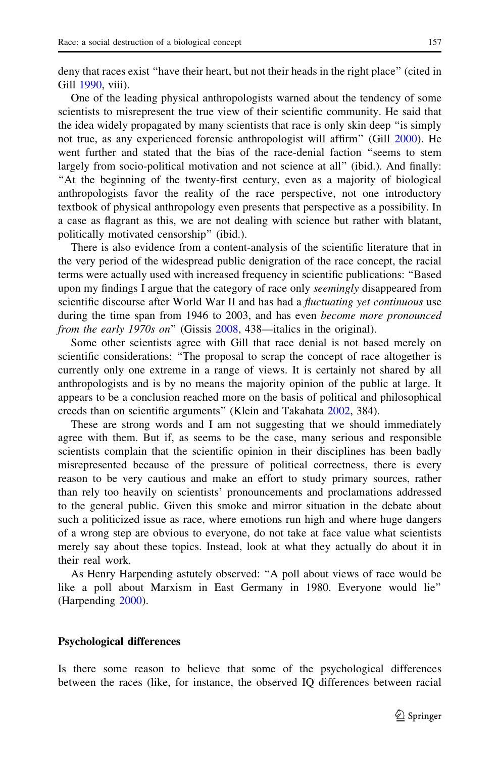<span id="page-14-0"></span>deny that races exist ''have their heart, but not their heads in the right place'' (cited in Gill [1990,](#page-18-0) viii).

One of the leading physical anthropologists warned about the tendency of some scientists to misrepresent the true view of their scientific community. He said that the idea widely propagated by many scientists that race is only skin deep ''is simply not true, as any experienced forensic anthropologist will affirm'' (Gill [2000\)](#page-18-0). He went further and stated that the bias of the race-denial faction ''seems to stem largely from socio-political motivation and not science at all'' (ibid.). And finally: ''At the beginning of the twenty-first century, even as a majority of biological anthropologists favor the reality of the race perspective, not one introductory textbook of physical anthropology even presents that perspective as a possibility. In a case as flagrant as this, we are not dealing with science but rather with blatant, politically motivated censorship'' (ibid.).

There is also evidence from a content-analysis of the scientific literature that in the very period of the widespread public denigration of the race concept, the racial terms were actually used with increased frequency in scientific publications: ''Based upon my findings I argue that the category of race only *seemingly* disappeared from scientific discourse after World War II and has had a *fluctuating yet continuous* use during the time span from 1946 to 2003, and has even become more pronounced from the early 1970s on" (Gissis [2008,](#page-18-0) 438—italics in the original).

Some other scientists agree with Gill that race denial is not based merely on scientific considerations: ''The proposal to scrap the concept of race altogether is currently only one extreme in a range of views. It is certainly not shared by all anthropologists and is by no means the majority opinion of the public at large. It appears to be a conclusion reached more on the basis of political and philosophical creeds than on scientific arguments'' (Klein and Takahata [2002,](#page-18-0) 384).

These are strong words and I am not suggesting that we should immediately agree with them. But if, as seems to be the case, many serious and responsible scientists complain that the scientific opinion in their disciplines has been badly misrepresented because of the pressure of political correctness, there is every reason to be very cautious and make an effort to study primary sources, rather than rely too heavily on scientists' pronouncements and proclamations addressed to the general public. Given this smoke and mirror situation in the debate about such a politicized issue as race, where emotions run high and where huge dangers of a wrong step are obvious to everyone, do not take at face value what scientists merely say about these topics. Instead, look at what they actually do about it in their real work.

As Henry Harpending astutely observed: ''A poll about views of race would be like a poll about Marxism in East Germany in 1980. Everyone would lie'' (Harpending [2000\)](#page-18-0).

#### Psychological differences

Is there some reason to believe that some of the psychological differences between the races (like, for instance, the observed IQ differences between racial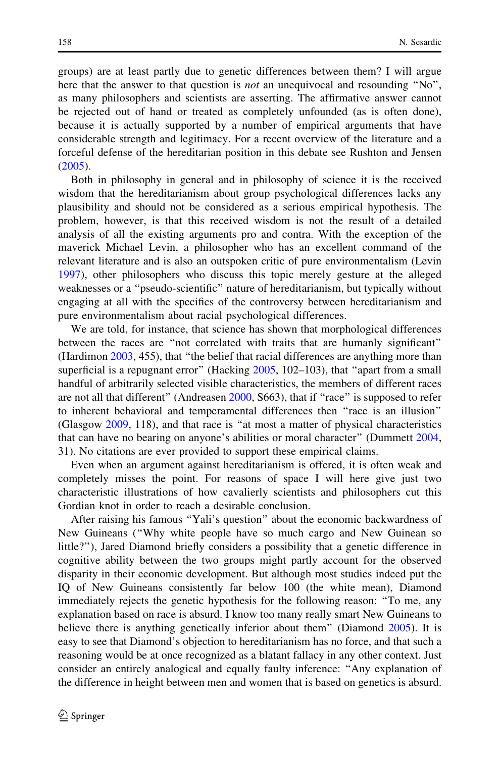groups) are at least partly due to genetic differences between them? I will argue here that the answer to that question is *not* an unequivocal and resounding "No", as many philosophers and scientists are asserting. The affirmative answer cannot be rejected out of hand or treated as completely unfounded (as is often done), because it is actually supported by a number of empirical arguments that have considerable strength and legitimacy. For a recent overview of the literature and a forceful defense of the hereditarian position in this debate see Rushton and Jensen [\(2005](#page-19-0)).

Both in philosophy in general and in philosophy of science it is the received wisdom that the hereditarianism about group psychological differences lacks any plausibility and should not be considered as a serious empirical hypothesis. The problem, however, is that this received wisdom is not the result of a detailed analysis of all the existing arguments pro and contra. With the exception of the maverick Michael Levin, a philosopher who has an excellent command of the relevant literature and is also an outspoken critic of pure environmentalism (Levin [1997\)](#page-18-0), other philosophers who discuss this topic merely gesture at the alleged weaknesses or a ''pseudo-scientific'' nature of hereditarianism, but typically without engaging at all with the specifics of the controversy between hereditarianism and pure environmentalism about racial psychological differences.

We are told, for instance, that science has shown that morphological differences between the races are ''not correlated with traits that are humanly significant'' (Hardimon [2003](#page-18-0), 455), that ''the belief that racial differences are anything more than superficial is a repugnant error" (Hacking [2005](#page-18-0), 102–103), that "apart from a small handful of arbitrarily selected visible characteristics, the members of different races are not all that different'' (Andreasen [2000](#page-17-0), S663), that if ''race'' is supposed to refer to inherent behavioral and temperamental differences then ''race is an illusion'' (Glasgow [2009,](#page-18-0) 118), and that race is ''at most a matter of physical characteristics that can have no bearing on anyone's abilities or moral character'' (Dummett [2004,](#page-18-0) 31). No citations are ever provided to support these empirical claims.

Even when an argument against hereditarianism is offered, it is often weak and completely misses the point. For reasons of space I will here give just two characteristic illustrations of how cavalierly scientists and philosophers cut this Gordian knot in order to reach a desirable conclusion.

After raising his famous ''Yali's question'' about the economic backwardness of New Guineans (''Why white people have so much cargo and New Guinean so little?''), Jared Diamond briefly considers a possibility that a genetic difference in cognitive ability between the two groups might partly account for the observed disparity in their economic development. But although most studies indeed put the IQ of New Guineans consistently far below 100 (the white mean), Diamond immediately rejects the genetic hypothesis for the following reason: ''To me, any explanation based on race is absurd. I know too many really smart New Guineans to believe there is anything genetically inferior about them'' (Diamond [2005](#page-18-0)). It is easy to see that Diamond's objection to hereditarianism has no force, and that such a reasoning would be at once recognized as a blatant fallacy in any other context. Just consider an entirely analogical and equally faulty inference: ''Any explanation of the difference in height between men and women that is based on genetics is absurd.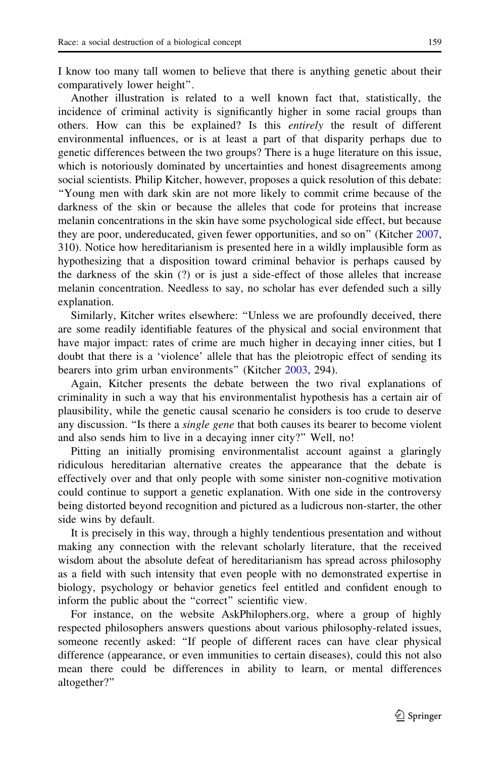I know too many tall women to believe that there is anything genetic about their comparatively lower height''.

Another illustration is related to a well known fact that, statistically, the incidence of criminal activity is significantly higher in some racial groups than others. How can this be explained? Is this entirely the result of different environmental influences, or is at least a part of that disparity perhaps due to genetic differences between the two groups? There is a huge literature on this issue, which is notoriously dominated by uncertainties and honest disagreements among social scientists. Philip Kitcher, however, proposes a quick resolution of this debate: ''Young men with dark skin are not more likely to commit crime because of the darkness of the skin or because the alleles that code for proteins that increase melanin concentrations in the skin have some psychological side effect, but because they are poor, undereducated, given fewer opportunities, and so on'' (Kitcher [2007,](#page-18-0) 310). Notice how hereditarianism is presented here in a wildly implausible form as hypothesizing that a disposition toward criminal behavior is perhaps caused by the darkness of the skin (?) or is just a side-effect of those alleles that increase melanin concentration. Needless to say, no scholar has ever defended such a silly explanation.

Similarly, Kitcher writes elsewhere: ''Unless we are profoundly deceived, there are some readily identifiable features of the physical and social environment that have major impact: rates of crime are much higher in decaying inner cities, but I doubt that there is a 'violence' allele that has the pleiotropic effect of sending its bearers into grim urban environments" (Kitcher [2003](#page-18-0), 294).

Again, Kitcher presents the debate between the two rival explanations of criminality in such a way that his environmentalist hypothesis has a certain air of plausibility, while the genetic causal scenario he considers is too crude to deserve any discussion. "Is there a *single gene* that both causes its bearer to become violent and also sends him to live in a decaying inner city?'' Well, no!

Pitting an initially promising environmentalist account against a glaringly ridiculous hereditarian alternative creates the appearance that the debate is effectively over and that only people with some sinister non-cognitive motivation could continue to support a genetic explanation. With one side in the controversy being distorted beyond recognition and pictured as a ludicrous non-starter, the other side wins by default.

It is precisely in this way, through a highly tendentious presentation and without making any connection with the relevant scholarly literature, that the received wisdom about the absolute defeat of hereditarianism has spread across philosophy as a field with such intensity that even people with no demonstrated expertise in biology, psychology or behavior genetics feel entitled and confident enough to inform the public about the ''correct'' scientific view.

For instance, on the website AskPhilophers.org, where a group of highly respected philosophers answers questions about various philosophy-related issues, someone recently asked: ''If people of different races can have clear physical difference (appearance, or even immunities to certain diseases), could this not also mean there could be differences in ability to learn, or mental differences altogether?''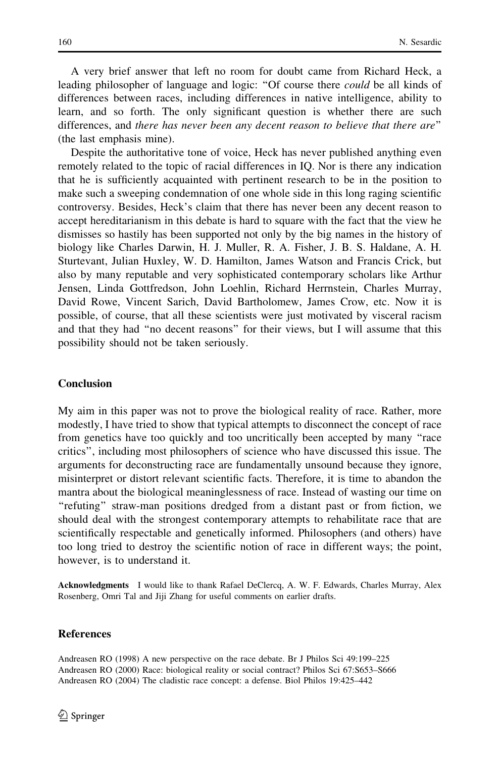<span id="page-17-0"></span>A very brief answer that left no room for doubt came from Richard Heck, a leading philosopher of language and logic: "Of course there *could* be all kinds of differences between races, including differences in native intelligence, ability to learn, and so forth. The only significant question is whether there are such differences, and there has never been any decent reason to believe that there are'' (the last emphasis mine).

Despite the authoritative tone of voice, Heck has never published anything even remotely related to the topic of racial differences in IQ. Nor is there any indication that he is sufficiently acquainted with pertinent research to be in the position to make such a sweeping condemnation of one whole side in this long raging scientific controversy. Besides, Heck's claim that there has never been any decent reason to accept hereditarianism in this debate is hard to square with the fact that the view he dismisses so hastily has been supported not only by the big names in the history of biology like Charles Darwin, H. J. Muller, R. A. Fisher, J. B. S. Haldane, A. H. Sturtevant, Julian Huxley, W. D. Hamilton, James Watson and Francis Crick, but also by many reputable and very sophisticated contemporary scholars like Arthur Jensen, Linda Gottfredson, John Loehlin, Richard Herrnstein, Charles Murray, David Rowe, Vincent Sarich, David Bartholomew, James Crow, etc. Now it is possible, of course, that all these scientists were just motivated by visceral racism and that they had ''no decent reasons'' for their views, but I will assume that this possibility should not be taken seriously.

# Conclusion

My aim in this paper was not to prove the biological reality of race. Rather, more modestly, I have tried to show that typical attempts to disconnect the concept of race from genetics have too quickly and too uncritically been accepted by many ''race critics'', including most philosophers of science who have discussed this issue. The arguments for deconstructing race are fundamentally unsound because they ignore, misinterpret or distort relevant scientific facts. Therefore, it is time to abandon the mantra about the biological meaninglessness of race. Instead of wasting our time on "refuting" straw-man positions dredged from a distant past or from fiction, we should deal with the strongest contemporary attempts to rehabilitate race that are scientifically respectable and genetically informed. Philosophers (and others) have too long tried to destroy the scientific notion of race in different ways; the point, however, is to understand it.

Acknowledgments I would like to thank Rafael DeClercq, A. W. F. Edwards, Charles Murray, Alex Rosenberg, Omri Tal and Jiji Zhang for useful comments on earlier drafts.

#### References

Andreasen RO (1998) A new perspective on the race debate. Br J Philos Sci 49:199–225 Andreasen RO (2000) Race: biological reality or social contract? Philos Sci 67:S653–S666 Andreasen RO (2004) The cladistic race concept: a defense. Biol Philos 19:425–442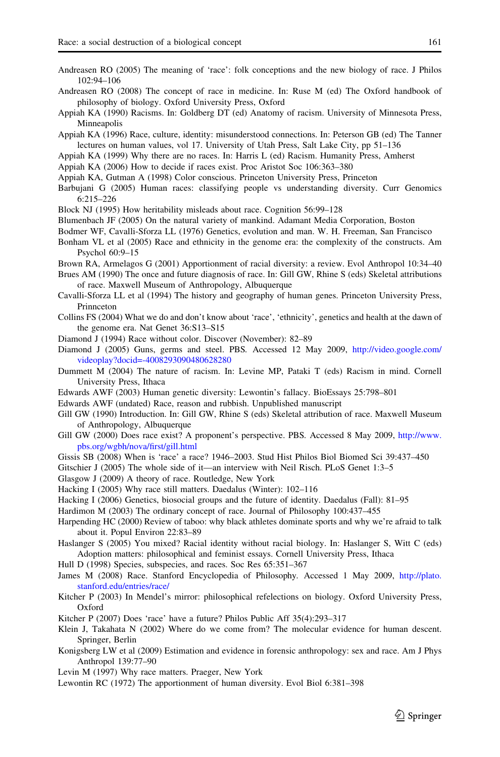- <span id="page-18-0"></span>Andreasen RO (2005) The meaning of 'race': folk conceptions and the new biology of race. J Philos 102:94–106
- Andreasen RO (2008) The concept of race in medicine. In: Ruse M (ed) The Oxford handbook of philosophy of biology. Oxford University Press, Oxford
- Appiah KA (1990) Racisms. In: Goldberg DT (ed) Anatomy of racism. University of Minnesota Press, Minneapolis
- Appiah KA (1996) Race, culture, identity: misunderstood connections. In: Peterson GB (ed) The Tanner lectures on human values, vol 17. University of Utah Press, Salt Lake City, pp 51–136
- Appiah KA (1999) Why there are no races. In: Harris L (ed) Racism. Humanity Press, Amherst

Appiah KA (2006) How to decide if races exist. Proc Aristot Soc 106:363–380

- Appiah KA, Gutman A (1998) Color conscious. Princeton University Press, Princeton
- Barbujani G (2005) Human races: classifying people vs understanding diversity. Curr Genomics 6:215–226
- Block NJ (1995) How heritability misleads about race. Cognition 56:99–128
- Blumenbach JF (2005) On the natural variety of mankind. Adamant Media Corporation, Boston
- Bodmer WF, Cavalli-Sforza LL (1976) Genetics, evolution and man. W. H. Freeman, San Francisco
- Bonham VL et al (2005) Race and ethnicity in the genome era: the complexity of the constructs. Am Psychol 60:9–15
- Brown RA, Armelagos G (2001) Apportionment of racial diversity: a review. Evol Anthropol 10:34–40
- Brues AM (1990) The once and future diagnosis of race. In: Gill GW, Rhine S (eds) Skeletal attributions of race. Maxwell Museum of Anthropology, Albuquerque
- Cavalli-Sforza LL et al (1994) The history and geography of human genes. Princeton University Press, Prinnceton
- Collins FS (2004) What we do and don't know about 'race', 'ethnicity', genetics and health at the dawn of the genome era. Nat Genet 36:S13–S15
- Diamond J (1994) Race without color. Discover (November): 82–89
- Diamond J (2005) Guns, germs and steel. PBS. Accessed 12 May 2009, [http://video.google.com/](http://video.google.com/videoplay?docid=-4008293090480628280) [videoplay?docid=-4008293090480628280](http://video.google.com/videoplay?docid=-4008293090480628280)
- Dummett M (2004) The nature of racism. In: Levine MP, Pataki T (eds) Racism in mind. Cornell University Press, Ithaca
- Edwards AWF (2003) Human genetic diversity: Lewontin's fallacy. BioEssays 25:798–801
- Edwards AWF (undated) Race, reason and rubbish. Unpublished manuscript
- Gill GW (1990) Introduction. In: Gill GW, Rhine S (eds) Skeletal attribution of race. Maxwell Museum of Anthropology, Albuquerque
- Gill GW (2000) Does race exist? A proponent's perspective. PBS. Accessed 8 May 2009, [http://www.](http://www.pbs.org/wgbh/nova/first/gill.html) [pbs.org/wgbh/nova/first/gill.html](http://www.pbs.org/wgbh/nova/first/gill.html)
- Gissis SB (2008) When is 'race' a race? 1946–2003. Stud Hist Philos Biol Biomed Sci 39:437–450
- Gitschier J (2005) The whole side of it—an interview with Neil Risch. PLoS Genet 1:3–5
- Glasgow J (2009) A theory of race. Routledge, New York
- Hacking I (2005) Why race still matters. Daedalus (Winter): 102–116
- Hacking I (2006) Genetics, biosocial groups and the future of identity. Daedalus (Fall): 81–95
- Hardimon M (2003) The ordinary concept of race. Journal of Philosophy 100:437–455
- Harpending HC (2000) Review of taboo: why black athletes dominate sports and why we're afraid to talk about it. Popul Environ 22:83–89
- Haslanger S (2005) You mixed? Racial identity without racial biology. In: Haslanger S, Witt C (eds) Adoption matters: philosophical and feminist essays. Cornell University Press, Ithaca
- Hull D (1998) Species, subspecies, and races. Soc Res 65:351–367
- James M (2008) Race. Stanford Encyclopedia of Philosophy. Accessed 1 May 2009, [http://plato.](http://plato.stanford.edu/entries/race/) [stanford.edu/entries/race/](http://plato.stanford.edu/entries/race/)
- Kitcher P (2003) In Mendel's mirror: philosophical refelections on biology. Oxford University Press, Oxford
- Kitcher P (2007) Does 'race' have a future? Philos Public Aff 35(4):293–317
- Klein J, Takahata N (2002) Where do we come from? The molecular evidence for human descent. Springer, Berlin
- Konigsberg LW et al (2009) Estimation and evidence in forensic anthropology: sex and race. Am J Phys Anthropol 139:77–90
- Levin M (1997) Why race matters. Praeger, New York
- Lewontin RC (1972) The apportionment of human diversity. Evol Biol 6:381–398